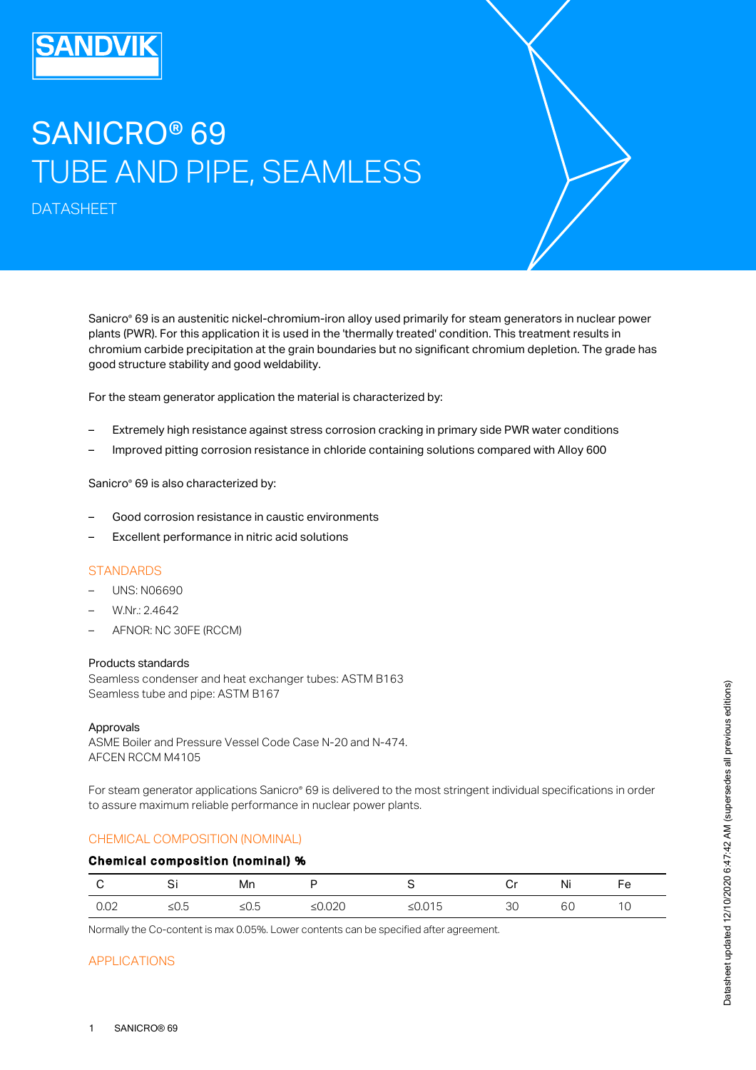# SANICRO® 69 TUBE AND PIPE, SEAMLESS

DATASHEET

Sanicro® 69 is an austenitic nickel-chromium-iron alloy used primarily for steam generators in nuclear power plants (PWR). For this application it is used in the 'thermally treated' condition. This treatment results in chromium carbide precipitation at the grain boundaries but no significant chromium depletion. The grade has good structure stability and good weldability.

For the steam generator application the material is characterized by:

- Extremely high resistance against stress corrosion cracking in primary side PWR water conditions
- Improved pitting corrosion resistance in chloride containing solutions compared with Alloy 600

Sanicro® 69 is also characterized by:

- Good corrosion resistance in caustic environments
- Excellent performance in nitric acid solutions

#### **STANDARDS**

- UNS: N06690
- W.Nr.: 2.4642
- AFNOR: NC 30FE (RCCM)

#### Products standards

Seamless condenser and heat exchanger tubes: ASTM B163 Seamless tube and pipe: ASTM B167

#### Approvals

ASME Boiler and Pressure Vessel Code Case N-20 and N-474. AFCEN RCCM M4105

For steam generator applications Sanicro® 69 is delivered to the most stringent individual specifications in order to assure maximum reliable performance in nuclear power plants.

#### CHEMICAL COMPOSITION (NOMINAL)

#### Chemical composition (nominal) %

|             | ິ          | Mn  |                                |            | $-$ | $\cdot$ .<br>NL | Fe |
|-------------|------------|-----|--------------------------------|------------|-----|-----------------|----|
| ∩∩∩<br>∪.∪∠ | ╻┍<br>ט.ט≤ | ∪.ب | $\sim$ $\sim$ $\sim$<br>∸∪.∪∠∪ | -<br>50.01 | ںں  | σU              | ◡  |

Normally the Co-content is max 0.05%. Lower contents can be specified after agreement.

## APPLICATIONS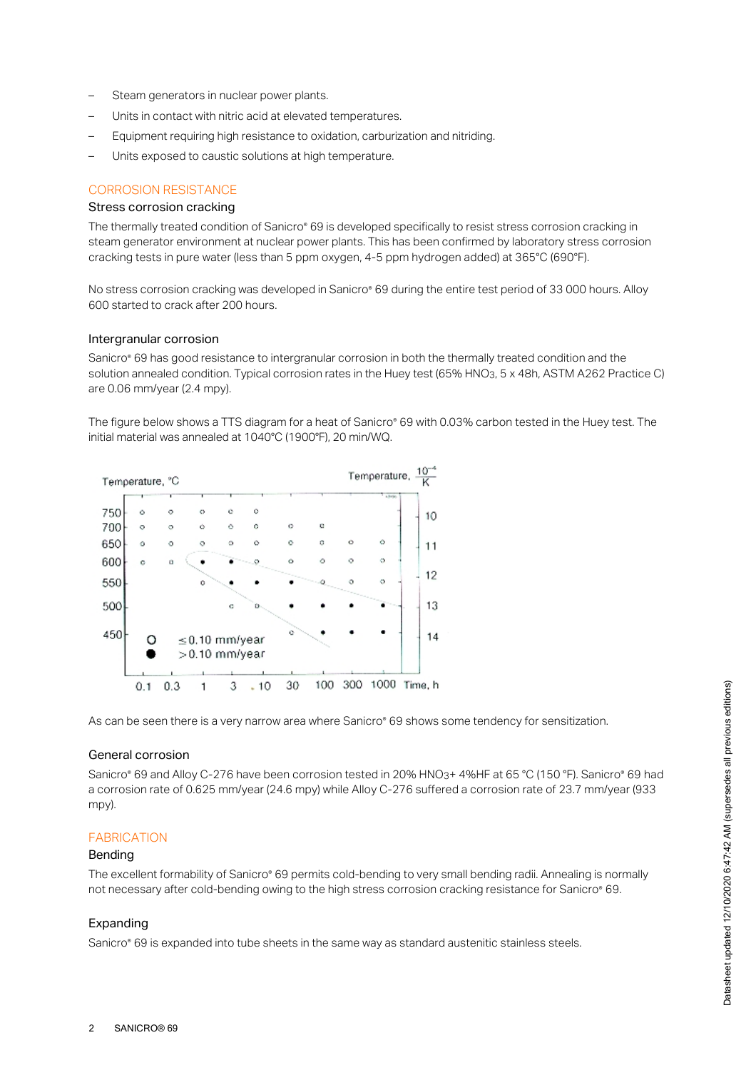- Steam generators in nuclear power plants.
- Units in contact with nitric acid at elevated temperatures.
- Equipment requiring high resistance to oxidation, carburization and nitriding.
- Units exposed to caustic solutions at high temperature.

#### CORROSION RESISTANCE

## Stress corrosion cracking

The thermally treated condition of Sanicro® 69 is developed specifically to resist stress corrosion cracking in steam generator environment at nuclear power plants. This has been confirmed by laboratory stress corrosion cracking tests in pure water (less than 5 ppm oxygen, 4-5 ppm hydrogen added) at 365°C (690°F).

No stress corrosion cracking was developed in Sanicro® 69 during the entire test period of 33 000 hours. Alloy 600 started to crack after 200 hours.

#### Intergranular corrosion

Sanicro® 69 has good resistance to intergranular corrosion in both the thermally treated condition and the solution annealed condition. Typical corrosion rates in the Huey test (65% HNO3, 5 x 48h, ASTM A262 Practice C) are 0.06 mm/year (2.4 mpy).

The figure below shows a TTS diagram for a heat of Sanicro® 69 with 0.03% carbon tested in the Huey test. The initial material was annealed at 1040°C (1900°F), 20 min/WQ.



As can be seen there is a very narrow area where Sanicro® 69 shows some tendency for sensitization.

#### General corrosion

Sanicro® 69 and Alloy C-276 have been corrosion tested in 20% HNO3+ 4%HF at 65 °C (150 °F). Sanicro® 69 had a corrosion rate of 0.625 mm/year (24.6 mpy) while Alloy C-276 suffered a corrosion rate of 23.7 mm/year (933 mpy).

#### FABRICATION

#### Bending

The excellent formability of Sanicro® 69 permits cold-bending to very small bending radii. Annealing is normally not necessary after cold-bending owing to the high stress corrosion cracking resistance for Sanicro® 69.

### Expanding

Sanicro® 69 is expanded into tube sheets in the same way as standard austenitic stainless steels.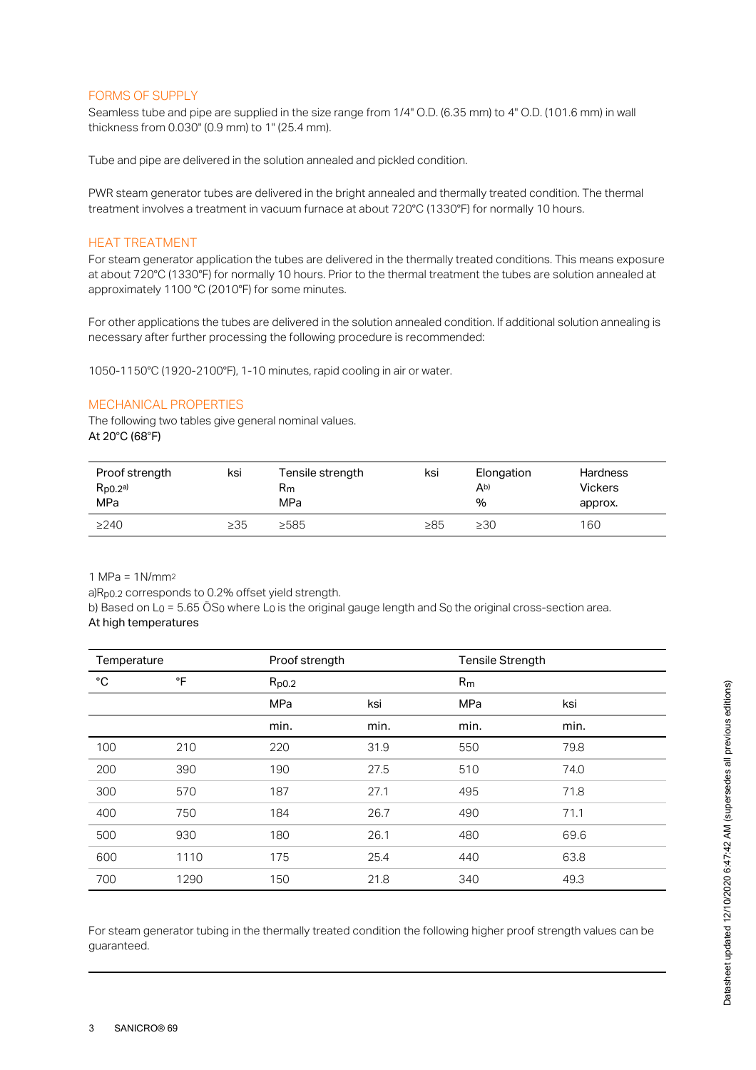#### FORMS OF SUPPLY

Seamless tube and pipe are supplied in the size range from  $1/4"$  O.D. (6.35 mm) to  $4"$  O.D. (101.6 mm) in wall thickness from 0.030" (0.9 mm) to 1" (25.4 mm).

Tube and pipe are delivered in the solution annealed and pickled condition.

PWR steam generator tubes are delivered in the bright annealed and thermally treated condition. The thermal treatment involves a treatment in vacuum furnace at about 720°C (1330°F) for normally 10 hours.

## HEAT TREATMENT

For steam generator application the tubes are delivered in the thermally treated conditions. This means exposure at about 720°C (1330°F) for normally 10 hours. Prior to the thermal treatment the tubes are solution annealed at approximately 1100 °C (2010°F) for some minutes.

For other applications the tubes are delivered in the solution annealed condition. If additional solution annealing is necessary after further processing the following procedure is recommended:

1050-1150°C (1920-2100°F), 1-10 minutes, rapid cooling in air or water.

#### MECHANICAL PROPERTIES

The following two tables give general nominal values. At 20°C (68°F)

| Proof strength<br>$R_{p0.2}$ a)<br>MPa | ksi       | Tensile strength<br>Rm<br>MPa | ksi       | Elongation<br>Ab)<br>% | <b>Hardness</b><br><b>Vickers</b><br>approx. |
|----------------------------------------|-----------|-------------------------------|-----------|------------------------|----------------------------------------------|
| >240                                   | $\geq$ 35 | >585                          | $\geq 85$ | $\geq 30$              | 160                                          |

1 MPa = 1N/mm 2

a) $R_{p0.2}$  corresponds to 0.2% offset yield strength.

b) Based on L $_{\rm O}$  = 5.65 OS $_{\rm O}$  where L $_{\rm O}$  is the original gauge length and S $_{\rm O}$  the original cross-section area. At high temperatures

| Temperature |      | Proof strength |      | Tensile Strength |      |
|-------------|------|----------------|------|------------------|------|
| °C          | °F   | $R_{p0.2}$     |      | R <sub>m</sub>   |      |
|             |      | MPa            | ksi  | MPa              | ksi  |
|             |      | min.           | min. | min.             | min. |
| 100         | 210  | 220            | 31.9 | 550              | 79.8 |
| 200         | 390  | 190            | 27.5 | 510              | 74.0 |
| 300         | 570  | 187            | 27.1 | 495              | 71.8 |
| 400         | 750  | 184            | 26.7 | 490              | 71.1 |
| 500         | 930  | 180            | 26.1 | 480              | 69.6 |
| 600         | 1110 | 175            | 25.4 | 440              | 63.8 |
| 700         | 1290 | 150            | 21.8 | 340              | 49.3 |

For steam generator tubing in the thermally treated condition the following higher proof strength values can be guaranteed.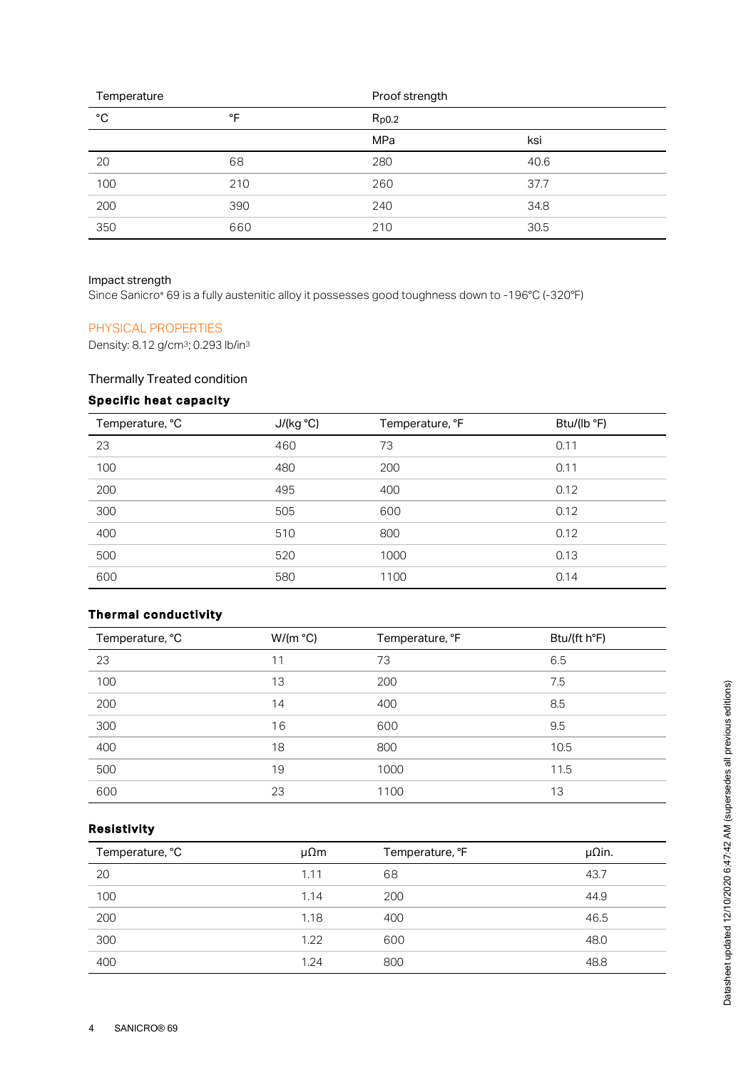| Temperature  |     | Proof strength |      |
|--------------|-----|----------------|------|
| $^{\circ}$ C | °F  | $R_{p0.2}$     |      |
|              |     | <b>MPa</b>     | ksi  |
| 20           | 68  | 280            | 40.6 |
| 100          | 210 | 260            | 37.7 |
| 200          | 390 | 240            | 34.8 |
| 350          | 660 | 210            | 30.5 |

## Impact strength

Since Sanicro® 69 is a fully austenitic alloy it possesses good toughness down to -196°C (-320°F)

## PHYSICAL PROPERTIES

Density: 8.12 g/cm<sup>3</sup>; 0.293 lb/in<sup>3</sup>

## Thermally Treated condition

# Specific heat capacity

| Temperature, °C | J/(kg °C) | Temperature, °F | Btu/(lb °F) |
|-----------------|-----------|-----------------|-------------|
| 23              | 460       | 73              | 0.11        |
| 100             | 480       | 200             | 0.11        |
| 200             | 495       | 400             | 0.12        |
| 300             | 505       | 600             | 0.12        |
| 400             | 510       | 800             | 0.12        |
| 500             | 520       | 1000            | 0.13        |
| 600             | 580       | 1100            | 0.14        |

## Thermal conductivity

| Temperature, °C | W/(m °C) | Temperature, °F | Btu/(ft h°F) |
|-----------------|----------|-----------------|--------------|
| 23              | 11       | 73              | 6.5          |
| 100             | 13       | 200             | 7.5          |
| 200             | 14       | 400             | 8.5          |
| 300             | 16       | 600             | 9.5          |
| 400             | 18       | 800             | 10.5         |
| 500             | 19       | 1000            | 11.5         |
| 600             | 23       | 1100            | 13           |

## Resistivity

| Temperature, °C | $\mu\Omega$ m | Temperature, °F | $\mu$ Qin. |
|-----------------|---------------|-----------------|------------|
| 20              | 1.11          | 68              | 43.7       |
| 100             | 1.14          | 200             | 44.9       |
| 200             | 1.18          | 400             | 46.5       |
| 300             | 1.22          | 600             | 48.0       |
| 400             | 1.24          | 800             | 48.8       |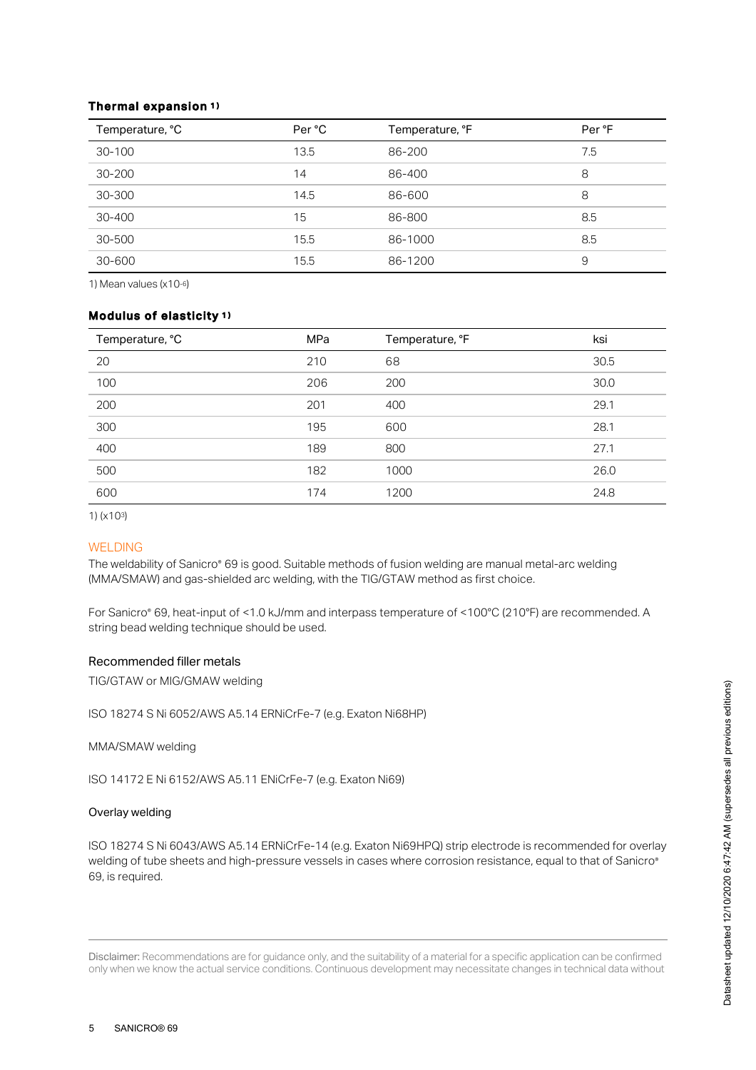### Thermal expansion 1 )

| Temperature, °C | Per °C | Temperature, °F | Per °F |
|-----------------|--------|-----------------|--------|
| $30 - 100$      | 13.5   | 86-200          | 7.5    |
| $30 - 200$      | 14     | 86-400          | 8      |
| 30-300          | 14.5   | 86-600          | 8      |
| 30-400          | 15     | 86-800          | 8.5    |
| 30-500          | 15.5   | 86-1000         | 8.5    |
| 30-600          | 15.5   | 86-1200         | 9      |

1) Mean values  $(x10-6)$ 

#### Modulus of elasticity 1 )

| Temperature, °C | <b>MPa</b> | Temperature, °F | ksi  |
|-----------------|------------|-----------------|------|
| 20              | 210        | 68              | 30.5 |
| 100             | 206        | 200             | 30.0 |
| 200             | 201        | 400             | 29.1 |
| 300             | 195        | 600             | 28.1 |
| 400             | 189        | 800             | 27.1 |
| 500             | 182        | 1000            | 26.0 |
| 600             | 174        | 1200            | 24.8 |

1) (x103)

#### WELDING

The weldability of Sanicro® 69 is good. Suitable methods of fusion welding are manual metal-arc welding (MMA/SMAW) and gas-shielded arc welding, with the TIG/GTAW method as first choice.

For Sanicro® 69, heat-input of <1.0 kJ/mm and interpass temperature of <100°C (210°F) are recommended. A string bead welding technique should be used.

## Recommended filler metals

TIG/GTAW or MIG/GMAW welding

ISO 18274 S Ni 6052/AWS A5.14 ERNiCrFe-7 (e.g. Exaton Ni68HP)

MMA/SMAW welding

ISO 14172 E Ni 6152/AWS A5.11 ENiCrFe-7 (e.g. Exaton Ni69)

#### Overlay welding

ISO 18274 S Ni 6043/AWS A5.14 ERNiCrFe-14 (e.g. Exaton Ni69HPQ) strip electrode is recommended for overlay welding of tube sheets and high-pressure vessels in cases where corrosion resistance, equal to that of Sanicro ® 69, is required.

Disclaimer: Recommendations are for guidance only, and the suitability of a material for a specific application can be confirmed only when we know the actual service conditions. Continuous development may necessitate changes in technical data without